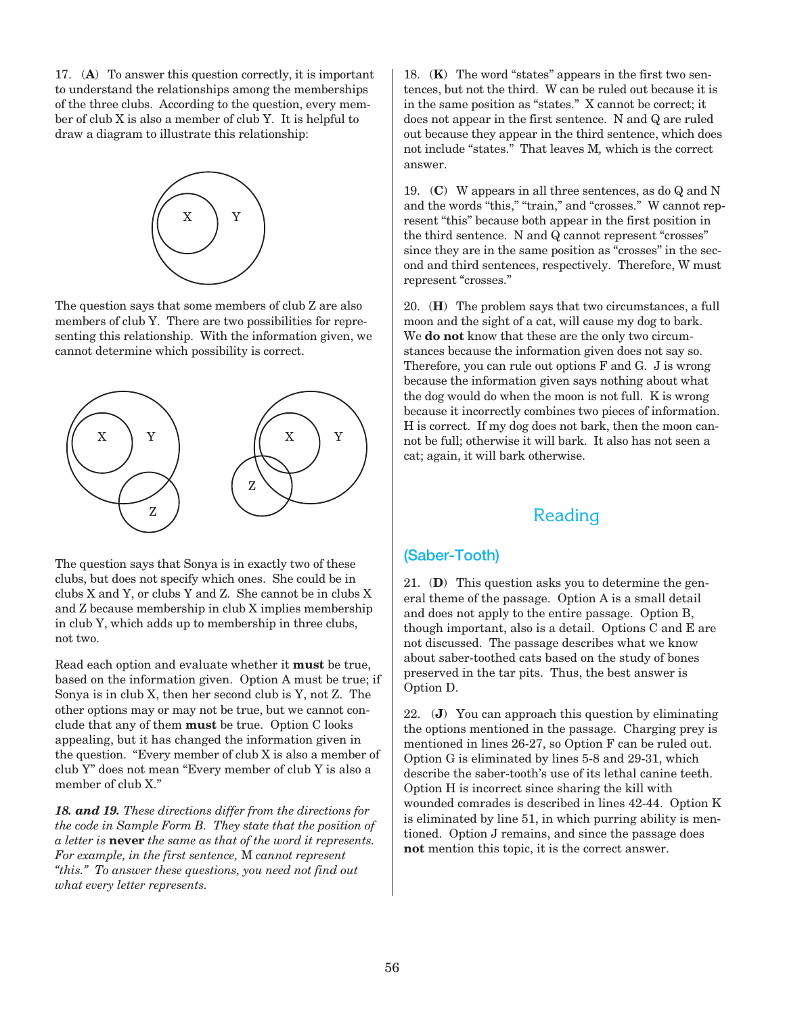17. (**A**) To answer this question correctly, it is important to understand the relationships among the memberships of the three clubs. According to the question, every member of club X is also a member of club Y. It is helpful to draw a diagram to illustrate this relationship:



The question says that some members of club Z are also members of club Y. There are two possibilities for representing this relationship. With the information given, we cannot determine which possibility is correct.



The question says that Sonya is in exactly two of these clubs, but does not specify which ones. She could be in clubs X and Y, or clubs Y and Z. She cannot be in clubs X and Z because membership in club X implies membership in club Y, which adds up to membership in three clubs, not two.

Read each option and evaluate whether it **must** be true, based on the information given. Option A must be true; if Sonya is in club X, then her second club is Y, not Z. The other options may or may not be true, but we cannot conclude that any of them **must** be true. Option C looks appealing, but it has changed the information given in the question. "Every member of club X is also a member of club Y" does not mean "Every member of club Y is also a member of club X."

*18. and 19. These directions differ from the directions for the code in Sample Form B. They state that the position of a letter is* **never** *the same as that of the word it represents. For example, in the first sentence,* M *cannot represent "this." To answer these questions, you need not find out what every letter represents.*

 18. (**K**) The word "states" appears in the first two sentences, but not the third. W can be ruled out because it is in the same position as "states." X cannot be correct; it does not appear in the first sentence. N and Q are ruled out because they appear in the third sentence, which does not include "states." That leaves M*,* which is the correct answer.

 19. (**C**) W appears in all three sentences, as do Q and N and the words "this," "train," and "crosses." W cannot represent "this" because both appear in the first position in the third sentence. N and Q cannot represent "crosses" since they are in the same position as "crosses" in the second and third sentences, respectively. Therefore, W must represent "crosses."

 20. (**H**) The problem says that two circumstances, a full moon and the sight of a cat, will cause my dog to bark. We **do not** know that these are the only two circumstances because the information given does not say so. Therefore, you can rule out options F and G. J is wrong because the information given says nothing about what the dog would do when the moon is not full. K is wrong because it incorrectly combines two pieces of information. H is correct. If my dog does not bark, then the moon cannot be full; otherwise it will bark. It also has not seen a cat; again, it will bark otherwise.

# Reading

## (Saber-Tooth)

 21. (**D**) This question asks you to determine the general theme of the passage. Option A is a small detail and does not apply to the entire passage. Option B, though important, also is a detail. Options C and E are not discussed. The passage describes what we know about saber-toothed cats based on the study of bones preserved in the tar pits. Thus, the best answer is Option D.

 22. (**J**) You can approach this question by eliminating the options mentioned in the passage. Charging prey is mentioned in lines 26-27, so Option F can be ruled out. Option G is eliminated by lines 5-8 and 29-31, which describe the saber-tooth's use of its lethal canine teeth. Option H is incorrect since sharing the kill with wounded comrades is described in lines 42-44. Option K is eliminated by line 51, in which purring ability is mentioned. Option J remains, and since the passage does **not** mention this topic, it is the correct answer.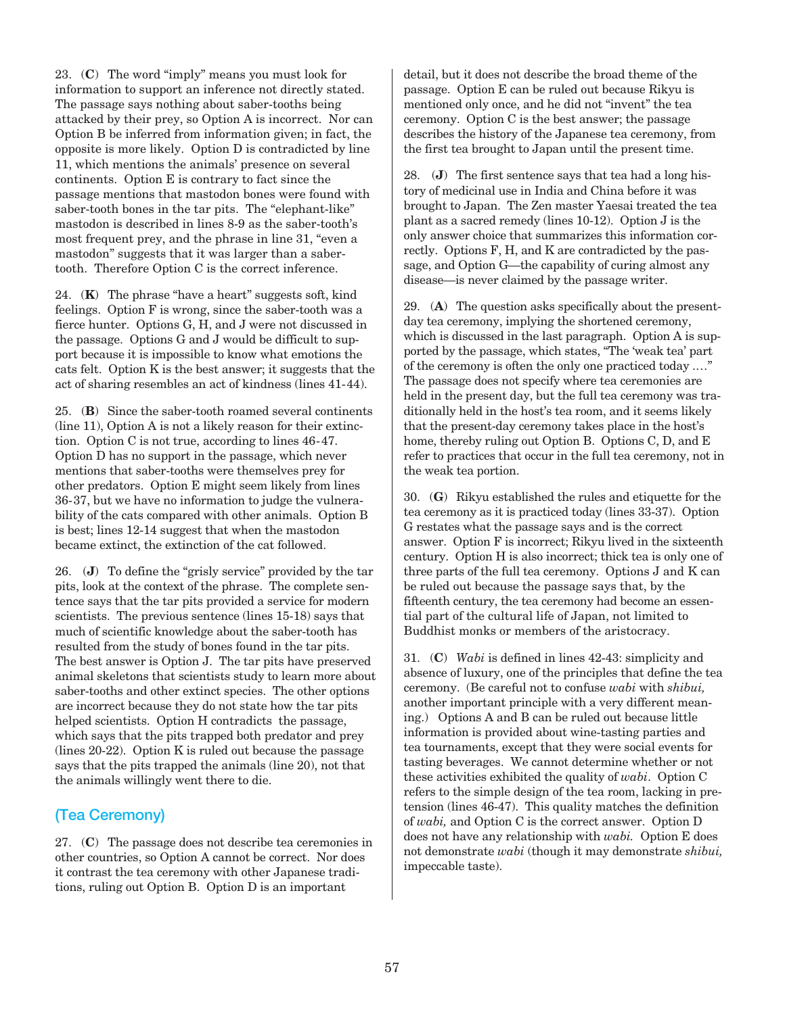23. (**C**) The word "imply" means you must look for information to support an inference not directly stated. The passage says nothing about saber-tooths being attacked by their prey, so Option A is incorrect. Nor can Option B be inferred from information given; in fact, the opposite is more likely. Option D is contradicted by line 11, which mentions the animals' presence on several continents. Option E is contrary to fact since the passage mentions that mastodon bones were found with saber-tooth bones in the tar pits. The "elephant-like" mastodon is described in lines 8-9 as the saber-tooth's most frequent prey, and the phrase in line 31, "even a mastodon" suggests that it was larger than a sabertooth. Therefore Option C is the correct inference.

 24. (**K**) The phrase "have a heart" suggests soft, kind feelings. Option F is wrong, since the saber-tooth was a fierce hunter. Options G, H, and J were not discussed in the passage. Options G and J would be difficult to support because it is impossible to know what emotions the cats felt. Option K is the best answer; it suggests that the act of sharing resembles an act of kindness (lines 41-44).

 25. (**B**) Since the saber-tooth roamed several continents (line 11), Option A is not a likely reason for their extinction. Option C is not true, according to lines 46-47. Option D has no support in the passage, which never mentions that saber-tooths were themselves prey for other predators. Option E might seem likely from lines 36-37, but we have no information to judge the vulnerability of the cats compared with other animals. Option B is best; lines 12-14 suggest that when the mastodon became extinct, the extinction of the cat followed.

 26. (**J**) To define the "grisly service" provided by the tar pits, look at the context of the phrase. The complete sentence says that the tar pits provided a service for modern scientists. The previous sentence (lines 15-18) says that much of scientific knowledge about the saber-tooth has resulted from the study of bones found in the tar pits. The best answer is Option J. The tar pits have preserved animal skeletons that scientists study to learn more about saber-tooths and other extinct species. The other options are incorrect because they do not state how the tar pits helped scientists. Option H contradicts the passage, which says that the pits trapped both predator and prey (lines 20-22). Option K is ruled out because the passage says that the pits trapped the animals (line 20), not that the animals willingly went there to die.

#### (Tea Ceremony)

 27. (**C**) The passage does not describe tea ceremonies in other countries, so Option A cannot be correct. Nor does it contrast the tea ceremony with other Japanese traditions, ruling out Option B. Option D is an important

detail, but it does not describe the broad theme of the passage. Option E can be ruled out because Rikyu is mentioned only once, and he did not "invent" the tea ceremony. Option C is the best answer; the passage describes the history of the Japanese tea ceremony, from the first tea brought to Japan until the present time.

 28. (**J**) The first sentence says that tea had a long history of medicinal use in India and China before it was brought to Japan. The Zen master Yaesai treated the tea plant as a sacred remedy (lines 10-12). Option J is the only answer choice that summarizes this information correctly. Options F, H, and K are contradicted by the passage, and Option G—the capability of curing almost any disease—is never claimed by the passage writer.

 29. (**A**) The question asks specifically about the presentday tea ceremony, implying the shortened ceremony, which is discussed in the last paragraph. Option A is supported by the passage, which states, "The 'weak tea' part of the ceremony is often the only one practiced today .…" The passage does not specify where tea ceremonies are held in the present day, but the full tea ceremony was traditionally held in the host's tea room, and it seems likely that the present-day ceremony takes place in the host's home, thereby ruling out Option B. Options C, D, and E refer to practices that occur in the full tea ceremony, not in the weak tea portion.

 30. (**G**) Rikyu established the rules and etiquette for the tea ceremony as it is practiced today (lines 33-37). Option G restates what the passage says and is the correct answer. Option F is incorrect; Rikyu lived in the sixteenth century. Option H is also incorrect; thick tea is only one of three parts of the full tea ceremony. Options J and K can be ruled out because the passage says that, by the fifteenth century, the tea ceremony had become an essential part of the cultural life of Japan, not limited to Buddhist monks or members of the aristocracy.

 31. (**C**) *Wabi* is defined in lines 42-43: simplicity and absence of luxury, one of the principles that define the tea ceremony. (Be careful not to confuse *wabi* with *shibui,* another important principle with a very different meaning.) Options A and B can be ruled out because little information is provided about wine-tasting parties and tea tournaments, except that they were social events for tasting beverages. We cannot determine whether or not these activities exhibited the quality of *wabi*. Option C refers to the simple design of the tea room, lacking in pretension (lines 46-47). This quality matches the definition of *wabi,* and Option C is the correct answer. Option D does not have any relationship with *wabi.* Option E does not demonstrate *wabi* (though it may demonstrate *shibui,* impeccable taste).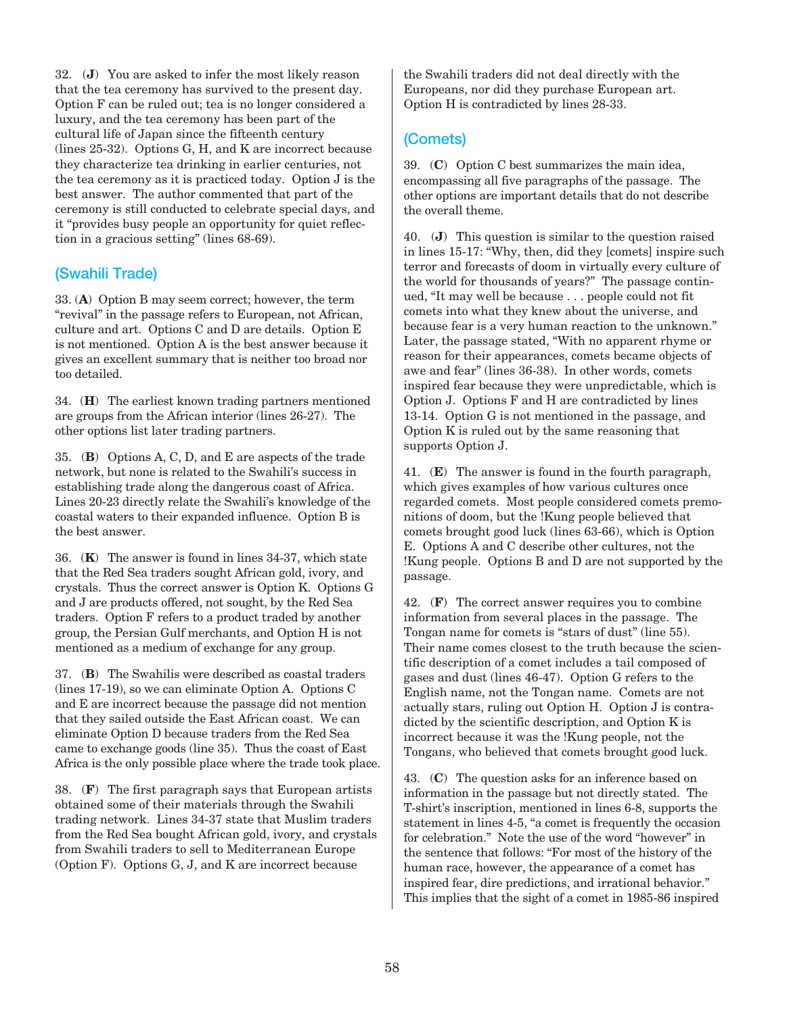32. (**J**) You are asked to infer the most likely reason that the tea ceremony has survived to the present day. Option F can be ruled out; tea is no longer considered a luxury, and the tea ceremony has been part of the cultural life of Japan since the fifteenth century (lines 25-32). Options G, H, and K are incorrect because they characterize tea drinking in earlier centuries, not the tea ceremony as it is practiced today. Option J is the best answer. The author commented that part of the ceremony is still conducted to celebrate special days, and it "provides busy people an opportunity for quiet reflection in a gracious setting" (lines 68-69).

#### (Swahili Trade)

 33. (**A**) Option B may seem correct; however, the term "revival" in the passage refers to European, not African, culture and art. Options C and D are details. Option E is not mentioned. Option A is the best answer because it gives an excellent summary that is neither too broad nor too detailed.

 34. (**H**) The earliest known trading partners mentioned are groups from the African interior (lines 26-27). The other options list later trading partners.

 35. (**B**) Options A, C, D, and E are aspects of the trade network, but none is related to the Swahili's success in establishing trade along the dangerous coast of Africa. Lines 20-23 directly relate the Swahili's knowledge of the coastal waters to their expanded influence. Option B is the best answer.

 36. (**K**) The answer is found in lines 34-37, which state that the Red Sea traders sought African gold, ivory, and crystals. Thus the correct answer is Option K. Options G and J are products offered, not sought, by the Red Sea traders. Option F refers to a product traded by another group, the Persian Gulf merchants, and Option H is not mentioned as a medium of exchange for any group.

 37. (**B**) The Swahilis were described as coastal traders (lines 17-19), so we can eliminate Option A. Options C and E are incorrect because the passage did not mention that they sailed outside the East African coast. We can eliminate Option D because traders from the Red Sea came to exchange goods (line 35). Thus the coast of East Africa is the only possible place where the trade took place.

 38. (**F**) The first paragraph says that European artists obtained some of their materials through the Swahili trading network. Lines 34-37 state that Muslim traders from the Red Sea bought African gold, ivory, and crystals from Swahili traders to sell to Mediterranean Europe (Option F). Options G, J, and K are incorrect because

the Swahili traders did not deal directly with the Europeans, nor did they purchase European art. Option H is contradicted by lines 28-33.

## (Comets)

 39. (**C**) Option C best summarizes the main idea, encompassing all five paragraphs of the passage. The other options are important details that do not describe the overall theme.

 40. (**J**) This question is similar to the question raised in lines 15-17: "Why, then, did they [comets] inspire such terror and forecasts of doom in virtually every culture of the world for thousands of years?" The passage continued, "It may well be because . . . people could not fit comets into what they knew about the universe, and because fear is a very human reaction to the unknown." Later, the passage stated, "With no apparent rhyme or reason for their appearances, comets became objects of awe and fear" (lines 36-38). In other words, comets inspired fear because they were unpredictable, which is Option J. Options F and H are contradicted by lines 13-14. Option G is not mentioned in the passage, and Option K is ruled out by the same reasoning that supports Option J.

 41. (**E**) The answer is found in the fourth paragraph, which gives examples of how various cultures once regarded comets. Most people considered comets premonitions of doom, but the !Kung people believed that comets brought good luck (lines 63-66), which is Option E. Options A and C describe other cultures, not the !Kung people. Options B and D are not supported by the passage.

 42. (**F**) The correct answer requires you to combine information from several places in the passage. The Tongan name for comets is "stars of dust" (line 55). Their name comes closest to the truth because the scientific description of a comet includes a tail composed of gases and dust (lines 46-47). Option G refers to the English name, not the Tongan name. Comets are not actually stars, ruling out Option H. Option J is contradicted by the scientific description, and Option K is incorrect because it was the !Kung people, not the Tongans, who believed that comets brought good luck.

 43. (**C**) The question asks for an inference based on information in the passage but not directly stated. The T-shirt's inscription, mentioned in lines 6-8, supports the statement in lines 4-5, "a comet is frequently the occasion for celebration." Note the use of the word "however" in the sentence that follows: "For most of the history of the human race, however, the appearance of a comet has inspired fear, dire predictions, and irrational behavior." This implies that the sight of a comet in 1985-86 inspired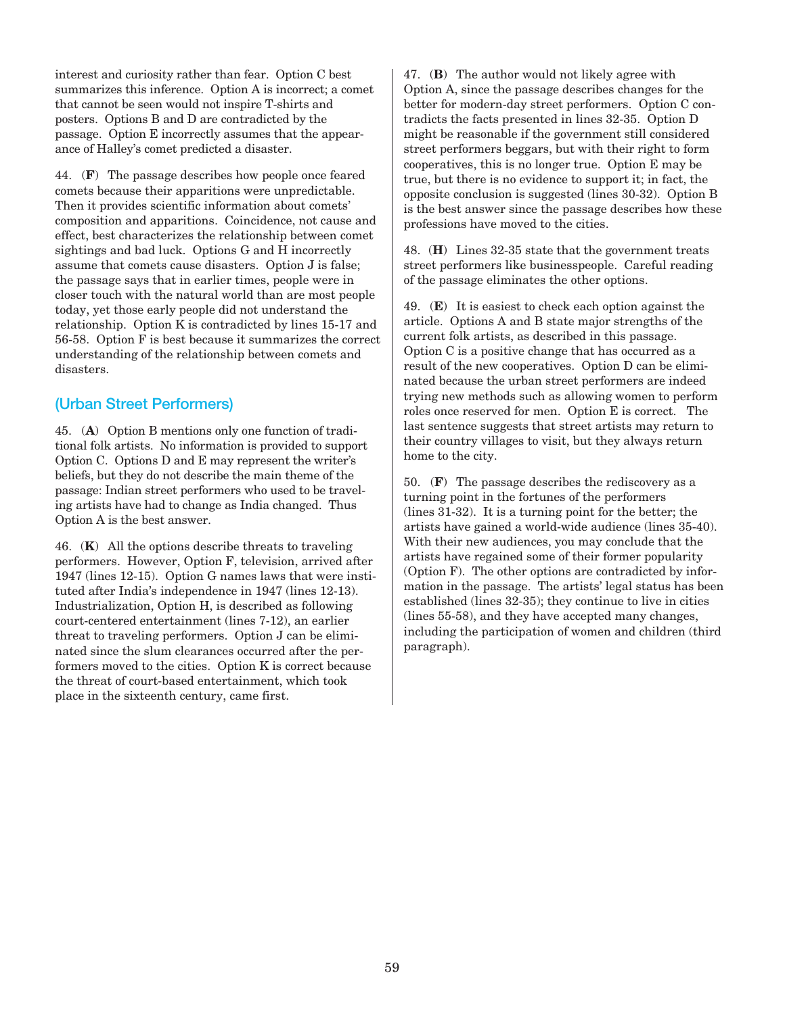interest and curiosity rather than fear. Option C best summarizes this inference. Option A is incorrect; a comet that cannot be seen would not inspire T-shirts and posters. Options B and D are contradicted by the passage. Option E incorrectly assumes that the appearance of Halley's comet predicted a disaster.

 44. (**F**) The passage describes how people once feared comets because their apparitions were unpredictable. Then it provides scientific information about comets' composition and apparitions. Coincidence, not cause and effect, best characterizes the relationship between comet sightings and bad luck. Options G and H incorrectly assume that comets cause disasters. Option J is false; the passage says that in earlier times, people were in closer touch with the natural world than are most people today, yet those early people did not understand the relationship. Option K is contradicted by lines 15-17 and 56-58. Option F is best because it summarizes the correct understanding of the relationship between comets and disasters.

# (Urban Street Performers)

 45. (**A**) Option B mentions only one function of traditional folk artists. No information is provided to support Option C. Options D and E may represent the writer's beliefs, but they do not describe the main theme of the passage: Indian street performers who used to be traveling artists have had to change as India changed. Thus Option A is the best answer.

 46. (**K**) All the options describe threats to traveling performers. However, Option F, television, arrived after 1947 (lines 12-15). Option G names laws that were instituted after India's independence in 1947 (lines 12-13). Industrialization, Option H, is described as following court-centered entertainment (lines 7-12), an earlier threat to traveling performers. Option J can be eliminated since the slum clearances occurred after the performers moved to the cities. Option K is correct because the threat of court-based entertainment, which took place in the sixteenth century, came first.

 47. (**B**) The author would not likely agree with Option A, since the passage describes changes for the better for modern-day street performers. Option C contradicts the facts presented in lines 32-35. Option D might be reasonable if the government still considered street performers beggars, but with their right to form cooperatives, this is no longer true. Option E may be true, but there is no evidence to support it; in fact, the opposite conclusion is suggested (lines 30-32). Option B is the best answer since the passage describes how these professions have moved to the cities.

 48. (**H**) Lines 32-35 state that the government treats street performers like businesspeople. Careful reading of the passage eliminates the other options.

 49. (**E**) It is easiest to check each option against the article. Options A and B state major strengths of the current folk artists, as described in this passage. Option C is a positive change that has occurred as a result of the new cooperatives. Option D can be eliminated because the urban street performers are indeed trying new methods such as allowing women to perform roles once reserved for men. Option E is correct. The last sentence suggests that street artists may return to their country villages to visit, but they always return home to the city.

 50. (**F**) The passage describes the rediscovery as a turning point in the fortunes of the performers (lines 31-32). It is a turning point for the better; the artists have gained a world-wide audience (lines 35-40). With their new audiences, you may conclude that the artists have regained some of their former popularity (Option F). The other options are contradicted by information in the passage. The artists' legal status has been established (lines 32-35); they continue to live in cities (lines 55-58), and they have accepted many changes, including the participation of women and children (third paragraph).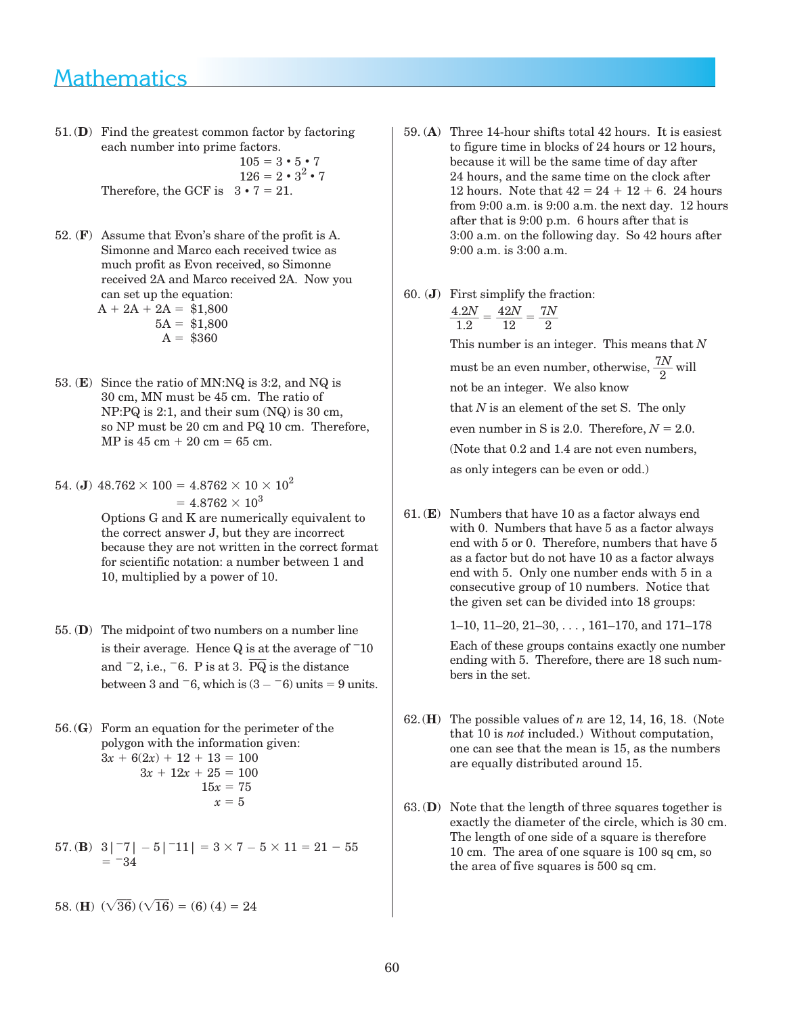# Mathematics

51.(**D**) Find the greatest common factor by factoring each number into prime factors.

> $105 = 3 \cdot 5 \cdot 7$  $126 = 2 \cdot 3^2 \cdot 7$ Therefore, the GCF is  $3 \cdot 7 = 21$ .

- 52. (**F**) Assume that Evon's share of the profit is A. Simonne and Marco each received twice as much profit as Evon received, so Simonne received 2A and Marco received 2A. Now you can set up the equation:  $A + 2A + 2A = $1,800$  $5A = $1,800$  $A = $360$
- 53. (**E**) Since the ratio of MN:NQ is 3:2, and NQ is 30 cm, MN must be 45 cm. The ratio of NP:PQ is 2:1, and their sum (NQ) is 30 cm, so NP must be 20 cm and PQ 10 cm. Therefore, MP is  $45 \text{ cm} + 20 \text{ cm} = 65 \text{ cm}.$

54. (J) 
$$
48.762 \times 100 = 4.8762 \times 10 \times 10^2
$$
  
=  $4.8762 \times 10^3$   
Ortions G and K are numerically on

 Options G and K are numerically equivalent to the correct answer J, but they are incorrect because they are not written in the correct format for scientific notation: a number between 1 and 10, multiplied by a power of 10.

- 55. (**D**) The midpoint of two numbers on a number line is their average. Hence  $Q$  is at the average of  $-10$ and  $\overline{2}$ , i.e.,  $\overline{6}$ . P is at 3.  $\overline{PQ}$  is the distance between 3 and  $-6$ , which is  $(3 - 6)$  units = 9 units.
- 56.(**G**) Form an equation for the perimeter of the polygon with the information given:  $3x + 6(2x) + 12 + 13 = 100$  $3x + 12x + 25 = 100$  $15x = 75$  $x = 5$
- 57. (**B**)  $3|^{-7}$ | 5|<sup>-</sup>11| =  $3 \times 7 5 \times 11 = 21 55$  $= 34$

58. (H) 
$$
(\sqrt{36})(\sqrt{16}) = (6)(4) = 24
$$

- 59. (**A**) Three 14-hour shifts total 42 hours. It is easiest to figure time in blocks of 24 hours or 12 hours, because it will be the same time of day after 24 hours, and the same time on the clock after 12 hours. Note that  $42 = 24 + 12 + 6$ . 24 hours from 9:00 a.m. is 9:00 a.m. the next day. 12 hours after that is 9:00 p.m. 6 hours after that is 3:00 a.m. on the following day. So 42 hours after 9:00 a.m. is 3:00 a.m.
- 60. (**J**) First simplify the fraction:

$$
\frac{4.2N}{1.2} = \frac{42N}{12} = \frac{7N}{2}
$$

 This number is an integer. This means that *N* must be an even number, otherwise,  $\frac{7N}{2}$  will not be an integer. We also know that *N* is an element of the set S. The only even number in S is 2.0. Therefore,  $N = 2.0$ . (Note that 0.2 and 1.4 are not even numbers, as only integers can be even or odd.)

 61. (**E**) Numbers that have 10 as a factor always end with 0. Numbers that have 5 as a factor always end with 5 or 0. Therefore, numbers that have 5 as a factor but do not have 10 as a factor always end with 5. Only one number ends with 5 in a consecutive group of 10 numbers. Notice that the given set can be divided into 18 groups:

1–10, 11–20, 21–30, . . . , 161–170, and 171–178

Each of these groups contains exactly one number ending with 5. Therefore, there are 18 such numbers in the set.

- 62.(**H**) The possible values of *n* are 12, 14, 16, 18. (Note that 10 is *not* included.) Without computation, one can see that the mean is 15, as the numbers are equally distributed around 15.
- 63.(**D**) Note that the length of three squares together is exactly the diameter of the circle, which is 30 cm. The length of one side of a square is therefore 10 cm. The area of one square is 100 sq cm, so the area of five squares is 500 sq cm.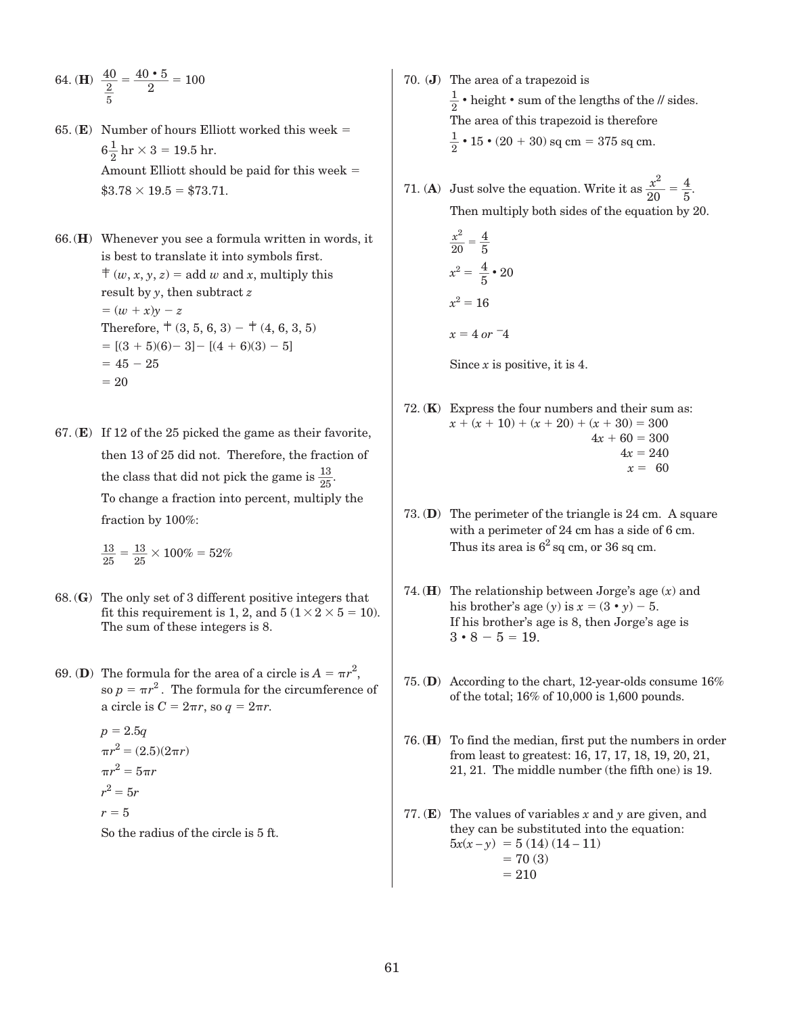64. (H) 
$$
\frac{40}{\frac{2}{5}} = \frac{40 \cdot 5}{2} = 100
$$

65. ( $\bf{E})$  Number of hours Elliott worked this week =  $6\frac{1}{2}$  hr  $\times$  3 = 19.5 hr. Amount Elliott should be paid for this week  $=$  $$3.78 \times 19.5 = $73.71.$ 

66.(**H**) Whenever you see a formula written in words, it is best to translate it into symbols first.  $\neq$   $(w, x, y, z) =$  add *w* and *x*, multiply this result by *y*, then subtract *z*  $=(w + x)\nu - z$ Therefore,  $\pm (3, 5, 6, 3) - \pm (4, 6, 3, 5)$  $=[(3 + 5)(6) - 3] - [(4 + 6)(3) - 5]$  $= 45 - 25$  $= 20$ 

67. (**E**) If 12 of the 25 picked the game as their favorite, then 13 of 25 did not. Therefore, the fraction of the class that did not pick the game is  $\frac{13}{25}$ . To change a fraction into percent, multiply the fraction by 100%:

 $\frac{13}{25} = \frac{13}{25} \times 100\% = 52\%$ 

- 68.(**G**) The only set of 3 different positive integers that fit this requirement is 1, 2, and  $5(1 \times 2 \times 5 = 10)$ . The sum of these integers is 8.
- 69. **(D)** The formula for the area of a circle is  $A = \pi r^2$ , so  $p = \pi r^2$ . The formula for the circumference of a circle is  $C = 2\pi r$ , so  $q = 2\pi r$ .

 $p = 2.5q$  $\pi r^2 = (2.5)(2\pi r)$  $\pi r^2 = 5\pi r$  $r^2 = 5r$  $r = 5$ 

So the radius of the circle is 5 ft.

- 70. (**J**) The area of a trapezoid is  $\frac{1}{2}$  • height • sum of the lengths of the // sides. The area of this trapezoid is therefore  $\frac{1}{2}$  • 15 • (20 + 30) sq cm = 375 sq cm.
- 71. (**A**) Just solve the equation. Write it as  $\frac{x^2}{20} = \frac{4}{5}$ . Then multiply both sides of the equation by 20.

$$
\frac{x^2}{20} = \frac{4}{5}
$$

$$
x^2 = \frac{4}{5} \cdot 20
$$

$$
x^2 = 16
$$

$$
x = 4 \text{ or } -4
$$

Since *x* is positive, it is 4.

- 72. (**K**) Express the four numbers and their sum as:  $x + (x + 10) + (x + 20) + (x + 30) = 300$  $4x + 60 = 300$  $4x = 240$  $x = 60$
- 73. (**D**) The perimeter of the triangle is 24 cm. A square with a perimeter of 24 cm has a side of 6 cm. Thus its area is  $6<sup>2</sup>$  sq cm, or 36 sq cm.
- 74. (**H**) The relationship between Jorge's age (*x*) and his brother's age  $(y)$  is  $x = (3 \cdot y) - 5$ . If his brother's age is 8, then Jorge's age is  $3 \cdot 8 - 5 = 19$ .
- 75. (**D**) According to the chart, 12-year-olds consume 16% of the total; 16% of 10,000 is 1,600 pounds.
- 76. (**H**) To find the median, first put the numbers in order from least to greatest: 16, 17, 17, 18, 19, 20, 21, 21, 21. The middle number (the fifth one) is 19.
- 77. (**E**) The values of variables *x* and *y* are given, and they can be substituted into the equation:  $5x(x-y) = 5(14)(14-11)$  $= 70 (3)$  $= 210$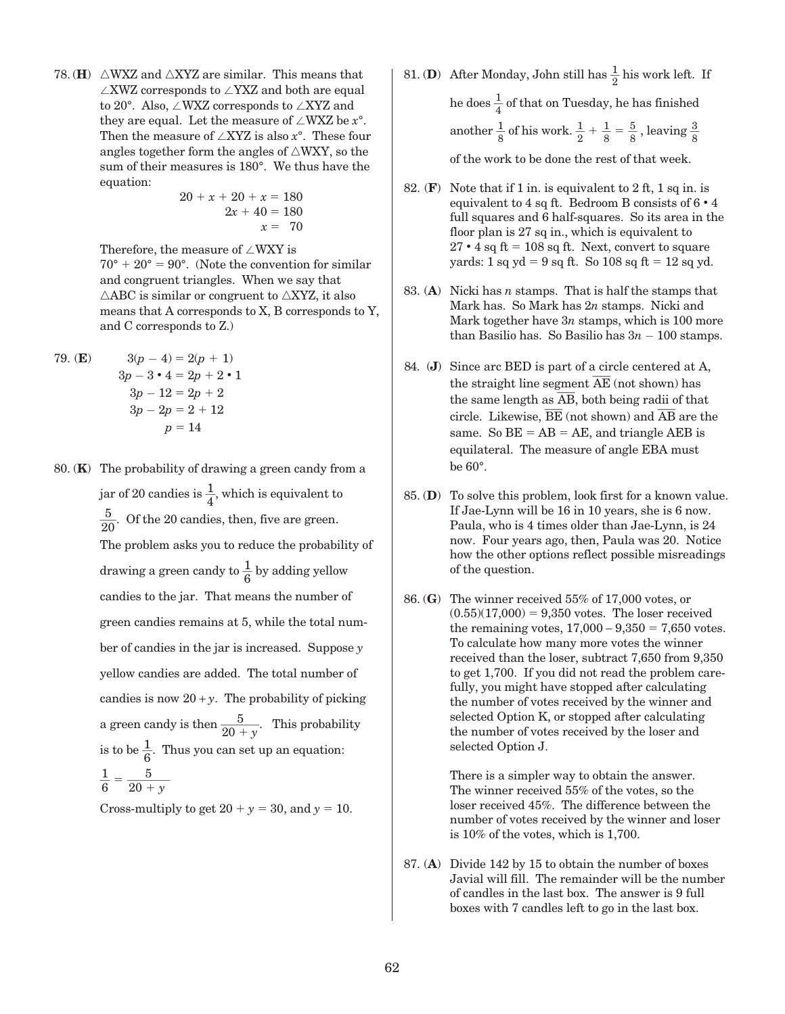78. **(H)**  $\triangle$ WXZ and  $\triangle$ XYZ are similar. This means that  $\angle$ XWZ corresponds to  $\angle$ YXZ and both are equal to 20 $^{\circ}$ . Also,  $\angle$ WXZ corresponds to  $\angle$ XYZ and they are equal. Let the measure of  $\angle$ WXZ be  $x$ °. Then the measure of  $\angle$ XYZ is also  $x$ °. These four angles together form the angles of  $\triangle$ WXY, so the sum of their measures is 180°. We thus have the equation:

 $20 + x + 20 + x = 180$  $2x + 40 = 180$  $x = 70$ 

Therefore, the measure of  $\angle$ WXY is  $70^\circ + 20^\circ = 90^\circ$ . (Note the convention for similar and congruent triangles. When we say that  $\triangle$ ABC is similar or congruent to  $\triangle$ XYZ, it also means that A corresponds to X, B corresponds to Y, and C corresponds to Z.)

79. (**E**)  $3(p-4) = 2(p+1)$  $3p - 3 \cdot 4 = 2p + 2 \cdot 1$  $3p - 12 = 2p + 2$  $3p - 2p = 2 + 12$  $p = 14$ 

 80. (**K**) The probability of drawing a green candy from a jar of 20 candies is  $\frac{1}{4}$ , which is equivalent to  $\frac{5}{2}$  $\frac{3}{20}$ . Of the 20 candies, then, five are green. The problem asks you to reduce the probability of drawing a green candy to  $\frac{1}{6}$  by adding yellow candies to the jar. That means the number of green candies remains at 5, while the total number of candies in the jar is increased. Suppose *y* yellow candies are added. The total number of candies is now  $20 + y$ . The probability of picking a green candy is then  $\frac{5}{20+y}$ . This probability is to be  $\frac{1}{6}$ . Thus you can set up an equation:  $\frac{1}{6} = \frac{5}{20 + y}$ 

Cross-multiply to get  $20 + y = 30$ , and  $y = 10$ .

- 81. **(D**) After Monday, John still has  $\frac{1}{2}$  his work left. If he does  $\frac{1}{4}$  of that on Tuesday, he has finished another  $\frac{1}{8}$  of his work.  $\frac{1}{2} + \frac{1}{8} = \frac{5}{8}$ , leaving  $\frac{3}{8}$ of the work to be done the rest of that week.
- 82. (**F**) Note that if 1 in. is equivalent to 2 ft, 1 sq in. is equivalent to 4 sq ft. Bedroom B consists of 6 **•** 4 full squares and 6 half-squares. So its area in the floor plan is 27 sq in., which is equivalent to  $27 \cdot 4$  sq ft = 108 sq ft. Next, convert to square yards: 1 sq yd = 9 sq ft. So 108 sq ft = 12 sq yd.
- 83. (**A**) Nicki has *n* stamps. That is half the stamps that Mark has. So Mark has 2*n* stamps. Nicki and Mark together have 3*n* stamps, which is 100 more than Basilio has. So Basilio has  $3n - 100$  stamps.
- 84. (**J**) Since arc BED is part of a circle centered at A, Since arc BED is part of a circle centered at  $F$  the straight line segment  $\overline{\text{AE}}$  (not shown) has the straight line segment AE (not shown) has<br>the same length as  $\overline{AB}$ , both being radii of that the same length as AB, both being radii of that<br>circle. Likewise,  $\overline{\text{BE}}$  (not shown) and  $\overline{\text{AB}}$  are the same. So  $BE = AB = AE$ , and triangle AEB is equilateral. The measure of angle EBA must be 60°.
- 85. (**D**) To solve this problem, look first for a known value. If Jae-Lynn will be 16 in 10 years, she is 6 now. Paula, who is 4 times older than Jae-Lynn, is 24 now. Four years ago, then, Paula was 20. Notice how the other options reflect possible misreadings of the question.
- 86. (**G**) The winner received 55% of 17,000 votes, or  $(0.55)(17,000) = 9,350$  votes. The loser received the remaining votes,  $17,000 - 9,350 = 7,650$  votes. To calculate how many more votes the winner received than the loser, subtract 7,650 from 9,350 to get 1,700. If you did not read the problem carefully, you might have stopped after calculating the number of votes received by the winner and selected Option K, or stopped after calculating the number of votes received by the loser and selected Option J.

 There is a simpler way to obtain the answer. The winner received 55% of the votes, so the loser received 45%. The difference between the number of votes received by the winner and loser is 10% of the votes, which is 1,700.

 87. (**A**) Divide 142 by 15 to obtain the number of boxes Javial will fill. The remainder will be the number of candles in the last box. The answer is 9 full boxes with 7 candles left to go in the last box.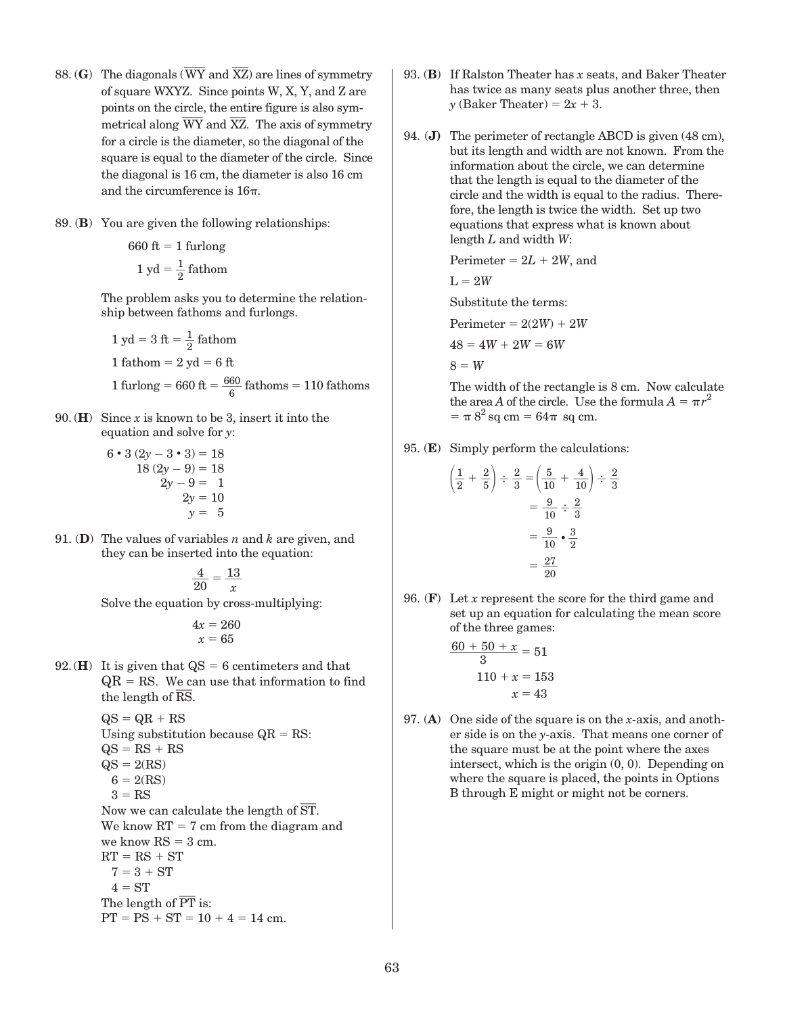- 88. (**G**) The diagonals (  $\overline{\phantom{a}}$ WY and  $\overline{\phantom{a}}$ XZ) are lines of symmetry of square WXYZ. Since points W, X, Y, and Z are points on the circle, the entire figure is also symmetrical along WY and XZ. The axis of symmetry for a circle is the diameter, so the diagonal of the square is equal to the diameter of the circle. Since the diagonal is 16 cm, the diameter is also 16 cm and the circumference is  $16\pi$ .
- 89. (**B**) You are given the following relationships:

 $660 \text{ ft} = 1 \text{ furlong}$  $1 \text{ yd} = \frac{1}{2} \text{ f}$ athom

> The problem asks you to determine the relationship between fathoms and furlongs.

1 yd = 3 ft = 
$$
\frac{1}{2}
$$
 fathom  
1 fathom = 2 yd = 6 ft  
1 furlong = 660 ft =  $\frac{660}{6}$  fathoms = 110 fathoms

- 90. (**H**) Since *x* is known to be 3, insert it into the equation and solve for *y*:
	- $6 \cdot 3 (2y 3 \cdot 3) = 18$  $18 (2y - 9) = 18$  $2y - 9 = 1$  $2y = 10$  $y = 5$
- 91. (**D**) The values of variables *n* and *k* are given, and they can be inserted into the equation:

$$
\frac{4}{20} = \frac{13}{x}
$$

Solve the equation by cross-multiplying:

 $4x = 260$  $x = 65$ 

92.(**H**) It is given that  $\text{QS} = 6$  centimeters and that  $QR = RS$ . We can use that information to find the length of RS.

$$
QS = QR + RS
$$
  
Using substitution because  $QR = RS$ :  
 $QS = RS + RS$   
 $QS = 2(RS)$   
 $6 = 2(RS)$   
 $3 = RS$   
Now we can calculate the length of  $\overline{ST}$ .  
We know  $RT = 7$  cm from the diagram and  
we know  $RS = 3$  cm.  
 $RT = RS + ST$   
 $7 = 3 + ST$   
 $4 = ST$   
The length of  $\overline{PT}$  is:  
 $PT = PS + ST = 10 + 4 = 14$  cm.

- 93. (**B**) If Ralston Theater has *x* seats, and Baker Theater has twice as many seats plus another three, then *y* (Baker Theater) =  $2x + 3$ .
- 94. (**J)** The perimeter of rectangle ABCD is given (48 cm), but its length and width are not known. From the information about the circle, we can determine that the length is equal to the diameter of the circle and the width is equal to the radius. Therefore, the length is twice the width. Set up two equations that express what is known about length *L* and width *W*:

$$
Perimeter = 2L + 2W, and
$$

$$
\mathrm{L}=2W
$$

Substitute the terms:

$$
Perimeter = 2(2W) + 2W
$$

$$
48=4W+2W=6W
$$

 $8 = W$ 

 $\overline{1}$ 

 The width of the rectangle is 8 cm. Now calculate the area *A* of the circle. Use the formula  $A = \pi r^2$  $= \pi 8^2$  sq cm  $= 64\pi$  sq cm.

95. (**E**) Simply perform the calculations:

$$
\left(\frac{1}{2} + \frac{2}{5}\right) \div \frac{2}{3} = \left(\frac{5}{10} + \frac{4}{10}\right) \div \frac{2}{3}
$$

$$
= \frac{9}{10} \div \frac{2}{3}
$$

$$
= \frac{9}{10} \cdot \frac{3}{2}
$$

$$
= \frac{27}{20}
$$

96. (**F**) Let *x* represent the score for the third game and set up an equation for calculating the mean score

of the three games:  
\n
$$
\frac{60 + 50 + x}{3} = 51
$$
\n
$$
110 + x = 153
$$
\n
$$
x = 43
$$

97. (**A**) One side of the square is on the *x*-axis, and another side is on the *y*-axis. That means one corner of the square must be at the point where the axes intersect, which is the origin (0, 0). Depending on where the square is placed, the points in Options B through E might or might not be corners.